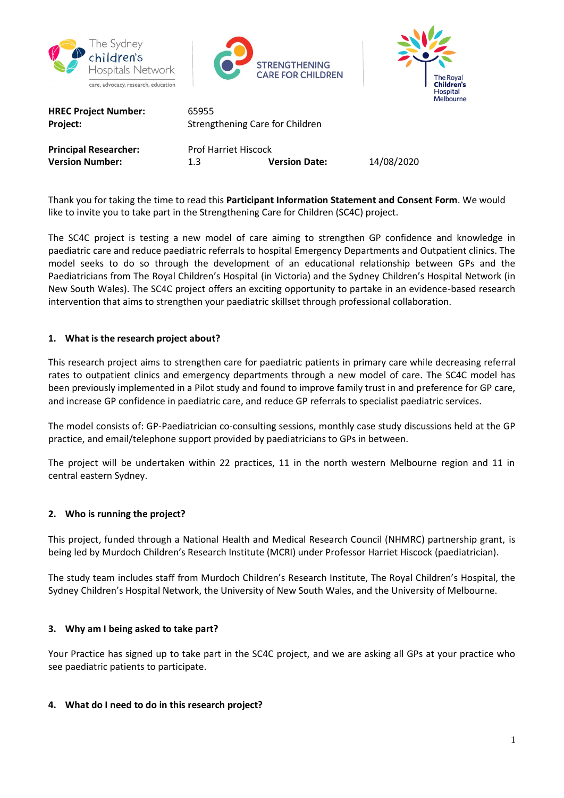





| <b>HREC Project Number:</b><br>Project: | 65955<br>Strengthening Care for Children<br><b>Prof Harriet Hiscock</b> |                     |
|-----------------------------------------|-------------------------------------------------------------------------|---------------------|
| Principal Researcher:                   |                                                                         |                     |
| Version Number:                         | 1.3                                                                     | <b>Version Date</b> |

**Date:** 14/08/2020

Thank you for taking the time to read this **Participant Information Statement and Consent Form**. We would like to invite you to take part in the Strengthening Care for Children (SC4C) project.

The SC4C project is testing a new model of care aiming to strengthen GP confidence and knowledge in paediatric care and reduce paediatric referrals to hospital Emergency Departments and Outpatient clinics. The model seeks to do so through the development of an educational relationship between GPs and the Paediatricians from The Royal Children's Hospital (in Victoria) and the Sydney Children's Hospital Network (in New South Wales). The SC4C project offers an exciting opportunity to partake in an evidence-based research intervention that aims to strengthen your paediatric skillset through professional collaboration.

# **1. What is the research project about?**

This research project aims to strengthen care for paediatric patients in primary care while decreasing referral rates to outpatient clinics and emergency departments through a new model of care. The SC4C model has been previously implemented in a Pilot study and found to improve family trust in and preference for GP care, and increase GP confidence in paediatric care, and reduce GP referrals to specialist paediatric services.

The model consists of: GP-Paediatrician co-consulting sessions, monthly case study discussions held at the GP practice, and email/telephone support provided by paediatricians to GPs in between.

The project will be undertaken within 22 practices, 11 in the north western Melbourne region and 11 in central eastern Sydney.

## **2. Who is running the project?**

This project, funded through a National Health and Medical Research Council (NHMRC) partnership grant, is being led by Murdoch Children's Research Institute (MCRI) under Professor Harriet Hiscock (paediatrician).

The study team includes staff from Murdoch Children's Research Institute, The Royal Children's Hospital, the Sydney Children's Hospital Network, the University of New South Wales, and the University of Melbourne.

## **3. Why am I being asked to take part?**

Your Practice has signed up to take part in the SC4C project, and we are asking all GPs at your practice who see paediatric patients to participate.

## **4. What do I need to do in this research project?**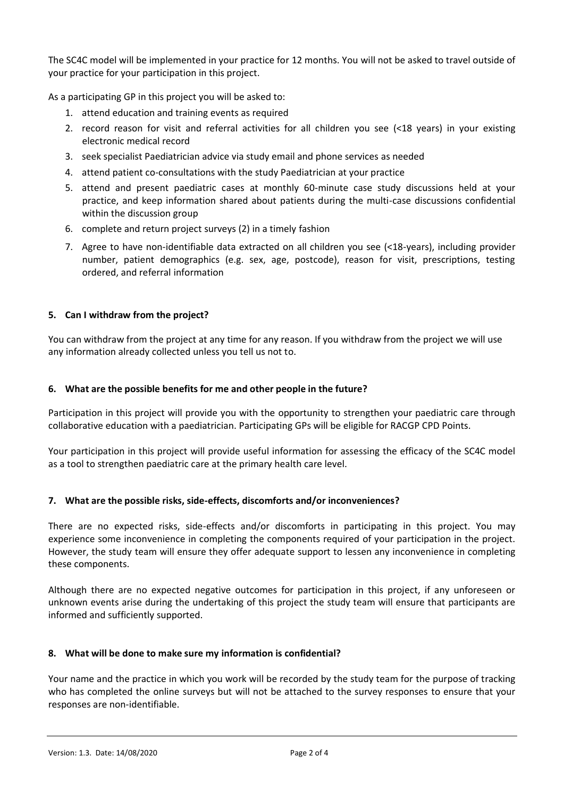The SC4C model will be implemented in your practice for 12 months. You will not be asked to travel outside of your practice for your participation in this project.

As a participating GP in this project you will be asked to:

- 1. attend education and training events as required
- 2. record reason for visit and referral activities for all children you see (<18 years) in your existing electronic medical record
- 3. seek specialist Paediatrician advice via study email and phone services as needed
- 4. attend patient co-consultations with the study Paediatrician at your practice
- 5. attend and present paediatric cases at monthly 60-minute case study discussions held at your practice, and keep information shared about patients during the multi-case discussions confidential within the discussion group
- 6. complete and return project surveys (2) in a timely fashion
- 7. Agree to have non-identifiable data extracted on all children you see (<18-years), including provider number, patient demographics (e.g. sex, age, postcode), reason for visit, prescriptions, testing ordered, and referral information

## **5. Can I withdraw from the project?**

You can withdraw from the project at any time for any reason. If you withdraw from the project we will use any information already collected unless you tell us not to.

## **6. What are the possible benefits for me and other people in the future?**

Participation in this project will provide you with the opportunity to strengthen your paediatric care through collaborative education with a paediatrician. Participating GPs will be eligible for RACGP CPD Points.

Your participation in this project will provide useful information for assessing the efficacy of the SC4C model as a tool to strengthen paediatric care at the primary health care level.

## **7. What are the possible risks, side-effects, discomforts and/or inconveniences?**

There are no expected risks, side-effects and/or discomforts in participating in this project. You may experience some inconvenience in completing the components required of your participation in the project. However, the study team will ensure they offer adequate support to lessen any inconvenience in completing these components.

Although there are no expected negative outcomes for participation in this project, if any unforeseen or unknown events arise during the undertaking of this project the study team will ensure that participants are informed and sufficiently supported.

## **8. What will be done to make sure my information is confidential?**

Your name and the practice in which you work will be recorded by the study team for the purpose of tracking who has completed the online surveys but will not be attached to the survey responses to ensure that your responses are non-identifiable.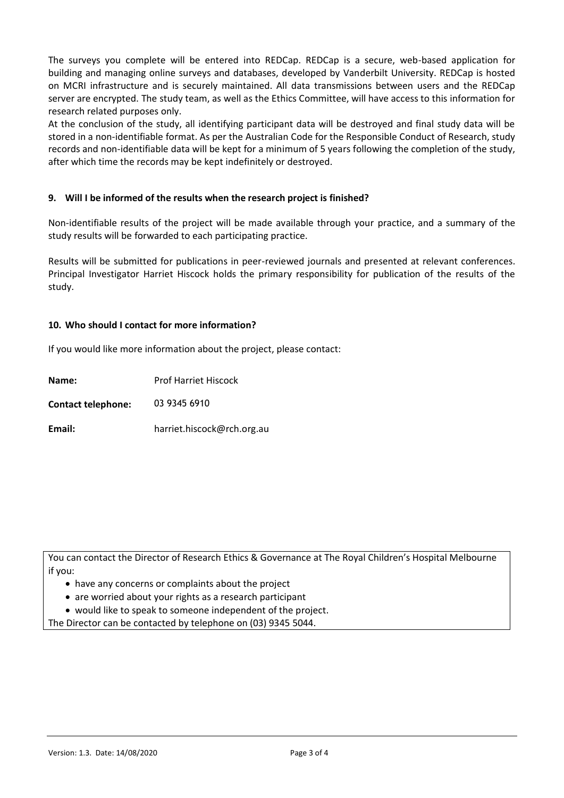The surveys you complete will be entered into REDCap. REDCap is a secure, web-based application for building and managing online surveys and databases, developed by Vanderbilt University. REDCap is hosted on MCRI infrastructure and is securely maintained. All data transmissions between users and the REDCap server are encrypted. The study team, as well as the Ethics Committee, will have access to this information for research related purposes only.

At the conclusion of the study, all identifying participant data will be destroyed and final study data will be stored in a non-identifiable format. As per the Australian Code for the Responsible Conduct of Research, study records and non-identifiable data will be kept for a minimum of 5 years following the completion of the study, after which time the records may be kept indefinitely or destroyed.

#### **9. Will I be informed of the results when the research project is finished?**

Non-identifiable results of the project will be made available through your practice, and a summary of the study results will be forwarded to each participating practice.

Results will be submitted for publications in peer-reviewed journals and presented at relevant conferences. Principal Investigator Harriet Hiscock holds the primary responsibility for publication of the results of the study.

#### **10. Who should I contact for more information?**

If you would like more information about the project, please contact:

| Name:                     | <b>Prof Harriet Hiscock</b> |
|---------------------------|-----------------------------|
| <b>Contact telephone:</b> | 03 9345 6910                |
| Email:                    | harriet.hiscock@rch.org.au  |

You can contact the Director of Research Ethics & Governance at The Royal Children's Hospital Melbourne if you:

- have any concerns or complaints about the project
- are worried about your rights as a research participant
- would like to speak to someone independent of the project.

The Director can be contacted by telephone on (03) 9345 5044.